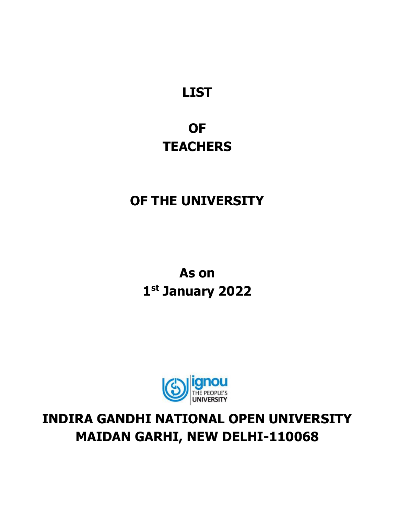## **LIST**

### **OF TEACHERS**

### **OF THE UNIVERSITY**

**As on 1 st January 2022**



### **INDIRA GANDHI NATIONAL OPEN UNIVERSITY MAIDAN GARHI, NEW DELHI-110068**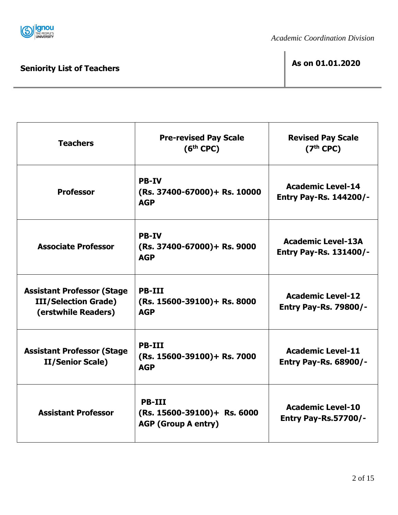

 $\mathsf{r}$ 

# **Seniority List of Teachers As on 01.01.2020**

| <b>Teachers</b>                                                                         | <b>Pre-revised Pay Scale</b><br>$(6th$ CPC)                                 | <b>Revised Pay Scale</b><br>$(7th$ CPC)                    |  |  |
|-----------------------------------------------------------------------------------------|-----------------------------------------------------------------------------|------------------------------------------------------------|--|--|
| <b>Professor</b>                                                                        | <b>PB-IV</b><br>(Rs. 37400-67000)+ Rs. 10000<br><b>AGP</b>                  | <b>Academic Level-14</b><br><b>Entry Pay-Rs. 144200/-</b>  |  |  |
| <b>Associate Professor</b>                                                              | <b>PB-IV</b><br>(Rs. 37400-67000)+ Rs. 9000<br><b>AGP</b>                   | <b>Academic Level-13A</b><br><b>Entry Pay-Rs. 131400/-</b> |  |  |
| <b>Assistant Professor (Stage</b><br><b>III/Selection Grade)</b><br>(erstwhile Readers) | <b>PB-III</b><br>$(Rs. 15600-39100) + Rs. 8000$<br><b>AGP</b>               | <b>Academic Level-12</b><br><b>Entry Pay-Rs. 79800/-</b>   |  |  |
| <b>Assistant Professor (Stage</b><br><b>II/Senior Scale)</b>                            | <b>PB-III</b><br>(Rs. 15600-39100)+ Rs. 7000<br><b>AGP</b>                  | <b>Academic Level-11</b><br><b>Entry Pay-Rs. 68900/-</b>   |  |  |
| <b>Assistant Professor</b>                                                              | <b>PB-III</b><br>$(Rs. 15600-39100)+Rs. 6000$<br><b>AGP (Group A entry)</b> | <b>Academic Level-10</b><br><b>Entry Pay-Rs.57700/-</b>    |  |  |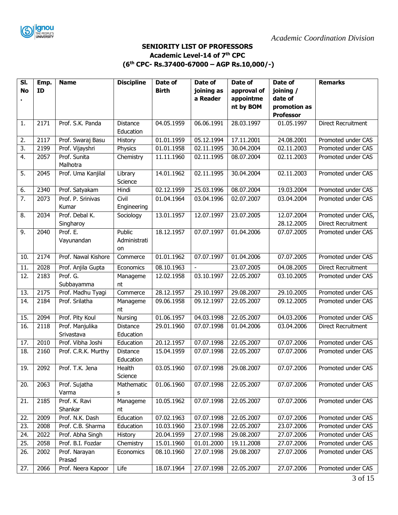

#### **SENIORITY LIST OF PROFESSORS Academic Level-14 of 7th CPC (6 th CPC- Rs.37400-67000 – AGP Rs.10,000/-)**

| SI.              | Emp. | <b>Name</b>             | <b>Discipline</b> | Date of      | Date of        | Date of     | Date of          | <b>Remarks</b>            |
|------------------|------|-------------------------|-------------------|--------------|----------------|-------------|------------------|---------------------------|
| <b>No</b>        | ID   |                         |                   | <b>Birth</b> | joining as     | approval of | joining /        |                           |
|                  |      |                         |                   |              | a Reader       | appointme   | date of          |                           |
|                  |      |                         |                   |              |                | nt by BOM   | promotion as     |                           |
|                  |      |                         |                   |              |                |             | <b>Professor</b> |                           |
| 1.               | 2171 | Prof. S.K. Panda        | Distance          | 04.05.1959   | 06.06.1991     | 28.03.1997  | 01.05.1997       | <b>Direct Recruitment</b> |
|                  |      |                         | Education         |              |                |             |                  |                           |
| 2.               | 2117 | Prof. Swaraj Basu       | History           | 01.01.1959   | 05.12.1994     | 17.11.2001  | 24.08.2001       | Promoted under CAS        |
| 3.               | 2199 | Prof. Vijayshri         | Physics           | 01.01.1958   | 02.11.1995     | 30.04.2004  | 02.11.2003       | Promoted under CAS        |
| 4.               | 2057 | Prof. Sunita            | Chemistry         | 11.11.1960   | 02.11.1995     | 08.07.2004  | 02.11.2003       | Promoted under CAS        |
|                  |      | Malhotra                |                   |              |                |             |                  |                           |
| $\overline{5}$ . | 2045 | Prof. Uma Kanjilal      | Library           | 14.01.1962   | 02.11.1995     | 30.04.2004  | 02.11.2003       | Promoted under CAS        |
|                  |      |                         | Science           |              |                |             |                  |                           |
| 6.               | 2340 | Prof. Satyakam          | Hindi             | 02.12.1959   | 25.03.1996     | 08.07.2004  | 19.03.2004       | Promoted under CAS        |
| $\overline{7}$ . | 2073 | Prof. P. Srinivas       | Civil             | 01.04.1964   | 03.04.1996     | 02.07.2007  | 03.04.2004       | Promoted under CAS        |
|                  |      | Kumar                   | Engineering       |              |                |             |                  |                           |
| 8.               | 2034 | Prof. Debal K.          | Sociology         | 13.01.1957   | 12.07.1997     | 23.07.2005  | 12.07.2004       | Promoted under CAS,       |
|                  |      | Singharoy               |                   |              |                |             | 28.12.2005       | Direct Recruitment        |
| 9.               | 2040 | Prof. E.                | Public            | 18.12.1957   | 07.07.1997     | 01.04.2006  | 07.07.2005       | Promoted under CAS        |
|                  |      | Vayunandan              | Administrati      |              |                |             |                  |                           |
|                  |      |                         | on                |              |                |             |                  |                           |
| 10.              | 2174 | Prof. Nawal Kishore     | Commerce          | 01.01.1962   | 07.07.1997     | 01.04.2006  | 07.07.2005       | Promoted under CAS        |
| 11.              | 2028 | Prof. Anjila Gupta      | Economics         | 08.10.1963   | $\blacksquare$ | 23.07.2005  | 04.08.2005       | <b>Direct Recruitment</b> |
| 12.              | 2183 | Prof. G.                | Manageme          | 12.02.1958   | 03.10.1997     | 22.05.2007  | 03.10.2005       | Promoted under CAS        |
|                  |      | Subbayamma              | nt                |              |                |             |                  |                           |
| 13.              | 2175 | Prof. Madhu Tyagi       | Commerce          | 28.12.1957   | 29.10.1997     | 29.08.2007  | 29.10.2005       | Promoted under CAS        |
| 14.              | 2184 | Prof. Srilatha          | Manageme          | 09.06.1958   | 09.12.1997     | 22.05.2007  | 09.12.2005       | Promoted under CAS        |
|                  |      |                         | nt                |              |                |             |                  |                           |
| 15.              | 2094 | Prof. Pity Koul         | Nursing           | 01.06.1957   | 04.03.1998     | 22.05.2007  | 04.03.2006       | Promoted under CAS        |
| 16.              | 2118 | Prof. Manjulika         | <b>Distance</b>   | 29.01.1960   | 07.07.1998     | 01.04.2006  | 03.04.2006       | Direct Recruitment        |
|                  |      | Srivastava              | Education         |              |                |             |                  |                           |
| 17.              | 2010 | Prof. Vibha Joshi       | Education         | 20.12.1957   | 07.07.1998     | 22.05.2007  | 07.07.2006       | Promoted under CAS        |
| 18.              | 2160 | Prof. C.R.K. Murthy     | Distance          | 15.04.1959   | 07.07.1998     | 22.05.2007  | 07.07.2006       | Promoted under CAS        |
|                  |      |                         | Education         |              |                |             |                  |                           |
| 19.              | 2092 | Prof. T.K. Jena         | Health            | 03.05.1960   | 07.07.1998     | 29.08.2007  | 07.07.2006       | Promoted under CAS        |
|                  |      |                         | Science           |              |                |             |                  |                           |
| 20.              | 2063 | Prof. Sujatha           | Mathematic        | 01.06.1960   | 07.07.1998     | 22.05.2007  | 07.07.2006       | Promoted under CAS        |
|                  |      | Varma                   | s                 |              |                |             |                  |                           |
| 21.              | 2185 | Prof. K. Ravi           | Manageme          | 10.05.1962   | 07.07.1998     | 22.05.2007  | 07.07.2006       | Promoted under CAS        |
|                  |      | Shankar                 | nt                |              |                |             |                  |                           |
| 22.              | 2009 | Prof. N.K. Dash         | Education         | 07.02.1963   | 07.07.1998     | 22.05.2007  | 07.07.2006       | Promoted under CAS        |
| 23.              | 2008 | Prof. C.B. Sharma       | Education         | 10.03.1960   | 23.07.1998     | 22.05.2007  | 23.07.2006       | Promoted under CAS        |
| 24.              | 2022 | Prof. Abha Singh        | <b>History</b>    | 20.04.1959   | 27.07.1998     | 29.08.2007  | 27.07.2006       | Promoted under CAS        |
| 25.              | 2058 | Prof. B.I. Fozdar       | Chemistry         | 15.01.1960   | 01.01.2000     | 19.11.2008  | 27.07.2006       | Promoted under CAS        |
| 26.              | 2002 | Prof. Narayan<br>Prasad | Economics         | 08.10.1960   | 27.07.1998     | 29.08.2007  | 27.07.2006       | Promoted under CAS        |
| 27.              | 2066 | Prof. Neera Kapoor      | Life              | 18.07.1964   | 27.07.1998     | 22.05.2007  | 27.07.2006       | Promoted under CAS        |
|                  |      |                         |                   |              |                |             |                  |                           |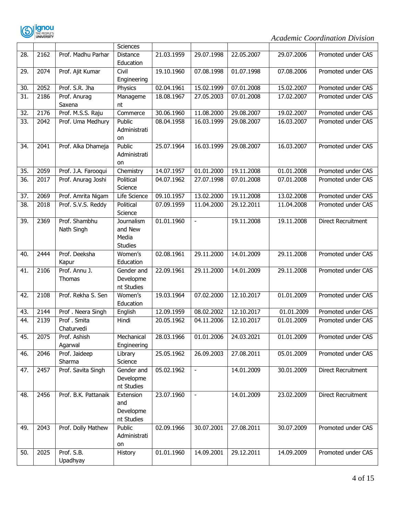

|     |                   |                        | Sciences             |            |                          |            |            |                           |
|-----|-------------------|------------------------|----------------------|------------|--------------------------|------------|------------|---------------------------|
| 28. | 2162              | Prof. Madhu Parhar     | <b>Distance</b>      | 21.03.1959 | 29.07.1998               | 22.05.2007 | 29.07.2006 | Promoted under CAS        |
|     |                   |                        | Education            |            |                          |            |            |                           |
| 29. | 2074              | Prof. Ajit Kumar       | Civil                | 19.10.1960 | 07.08.1998               | 01.07.1998 | 07.08.2006 | Promoted under CAS        |
|     |                   |                        | Engineering          |            |                          |            |            |                           |
| 30. | 2052              | Prof. S.R. Jha         | Physics              | 02.04.1961 | 15.02.1999               | 07.01.2008 | 15.02.2007 | Promoted under CAS        |
| 31. | 2186              | Prof. Anurag           | Manageme             | 18.08.1967 | 27.05.2003               | 07.01.2008 | 17.02.2007 | Promoted under CAS        |
|     |                   | Saxena                 | nt                   |            |                          |            |            |                           |
| 32. | 2176              | Prof. M.S.S. Raju      | Commerce             | 30.06.1960 | 11.08.2000               | 29.08.2007 | 19.02.2007 | Promoted under CAS        |
| 33. | 2042              | Prof. Uma Medhury      | Public               | 08.04.1958 | 16.03.1999               | 29.08.2007 | 16.03.2007 | Promoted under CAS        |
|     |                   |                        | Administrati         |            |                          |            |            |                           |
|     |                   |                        | on                   |            |                          |            |            |                           |
| 34. | 2041              | Prof. Alka Dhameja     | Public               | 25.07.1964 | 16.03.1999               | 29.08.2007 | 16.03.2007 | Promoted under CAS        |
|     |                   |                        | Administrati         |            |                          |            |            |                           |
|     |                   |                        | on                   |            |                          |            |            |                           |
| 35. | 2059              | Prof. J.A. Farooqui    | Chemistry            | 14.07.1957 | 01.01.2000               | 19.11.2008 | 01.01.2008 | Promoted under CAS        |
| 36. | 2017              | Prof. Anurag Joshi     | Political            | 04.07.1962 | 27.07.1998               | 07.01.2008 | 07.01.2008 | Promoted under CAS        |
|     |                   |                        | Science              |            |                          |            |            |                           |
| 37. | 2069              | Prof. Amrita Nigam     | <b>Life Science</b>  | 09.10.1957 | 13.02.2000               | 19.11.2008 | 13.02.2008 | Promoted under CAS        |
| 38. | 2018              | Prof. S.V.S. Reddy     | Political            | 07.09.1959 | 11.04.2000               | 29.12.2011 | 11.04.2008 | Promoted under CAS        |
|     |                   |                        | Science              |            |                          |            |            |                           |
| 39. | 2369              | Prof. Shambhu          | Journalism           | 01.01.1960 | $\blacksquare$           | 19.11.2008 | 19.11.2008 | <b>Direct Recruitment</b> |
|     |                   | Nath Singh             | and New              |            |                          |            |            |                           |
|     |                   |                        | Media                |            |                          |            |            |                           |
|     |                   | Prof. Deeksha          | <b>Studies</b>       |            |                          |            |            |                           |
| 40. | 2444              |                        | Women's<br>Education | 02.08.1961 | 29.11.2000               | 14.01.2009 | 29.11.2008 | Promoted under CAS        |
| 41. | 2106              | Kapur<br>Prof. Annu J. | Gender and           | 22.09.1961 | 29.11.2000               | 14.01.2009 | 29.11.2008 | Promoted under CAS        |
|     |                   | Thomas                 | Developme            |            |                          |            |            |                           |
|     |                   |                        | nt Studies           |            |                          |            |            |                           |
| 42. | 2108              | Prof. Rekha S. Sen     | Women's              | 19.03.1964 | 07.02.2000               | 12.10.2017 | 01.01.2009 | Promoted under CAS        |
|     |                   |                        | Education            |            |                          |            |            |                           |
| 43. | 2144              | Prof. Neera Singh      | English              | 12.09.1959 | 08.02.2002               | 12.10.2017 | 01.01.2009 | Promoted under CAS        |
| 44. | 2139              | Prof. Smita            | Hindi                | 20.05.1962 | 04.11.2006               | 12.10.2017 | 01.01.2009 | Promoted under CAS        |
|     |                   | Chaturvedi             |                      |            |                          |            |            |                           |
| 45. | 2075              | Prof. Ashish           | Mechanical           | 28.03.1966 | 01.01.2006               | 24.03.2021 | 01.01.2009 | Promoted under CAS        |
|     |                   | Agarwal                | Engineering          |            |                          |            |            |                           |
| 46. | 2046              | Prof. Jaideep          | Library              | 25.05.1962 | 26.09.2003               | 27.08.2011 | 05.01.2009 | Promoted under CAS        |
|     |                   | Sharma                 | Science              |            |                          |            |            |                           |
| 47. | $\overline{24}57$ | Prof. Savita Singh     | Gender and           | 05.02.1962 | $\overline{\phantom{a}}$ | 14.01.2009 | 30.01.2009 | <b>Direct Recruitment</b> |
|     |                   |                        | Developme            |            |                          |            |            |                           |
|     |                   |                        | nt Studies           |            |                          |            |            |                           |
| 48. | 2456              | Prof. B.K. Pattanaik   | Extension            | 23.07.1960 | $\overline{\phantom{a}}$ | 14.01.2009 | 23.02.2009 | Direct Recruitment        |
|     |                   |                        | and                  |            |                          |            |            |                           |
|     |                   |                        | Developme            |            |                          |            |            |                           |
|     |                   |                        | nt Studies           |            |                          |            |            |                           |
| 49. | 2043              | Prof. Dolly Mathew     | Public               | 02.09.1966 | 30.07.2001               | 27.08.2011 | 30.07.2009 | Promoted under CAS        |
|     |                   |                        | Administrati         |            |                          |            |            |                           |
|     |                   |                        | on                   |            |                          |            |            |                           |
| 50. | 2025              | Prof. S.B.             | History              | 01.01.1960 | 14.09.2001               | 29.12.2011 | 14.09.2009 | Promoted under CAS        |
|     |                   | Upadhyay               |                      |            |                          |            |            |                           |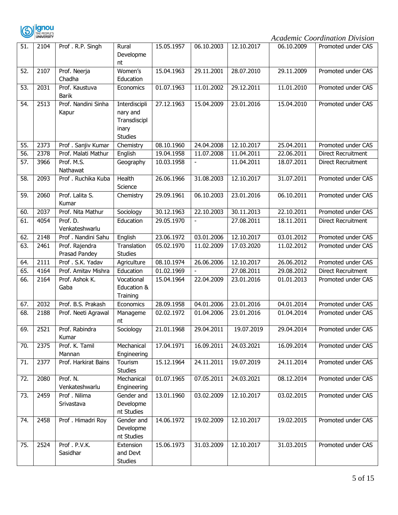

| 51.               | 2104 | Prof. R.P. Singh                | Rural<br>Developme<br>nt                                             | 15.05.1957 | 06.10.2003 | 12.10.2017 | 06.10.2009 | Promoted under CAS |
|-------------------|------|---------------------------------|----------------------------------------------------------------------|------------|------------|------------|------------|--------------------|
| 52.               | 2107 | Prof. Neerja<br>Chadha          | Women's<br>Education                                                 | 15.04.1963 | 29.11.2001 | 28.07.2010 | 29.11.2009 | Promoted under CAS |
| 53.               | 2031 | Prof. Kaustuva<br><b>Barik</b>  | Economics                                                            | 01.07.1963 | 11.01.2002 | 29.12.2011 | 11.01.2010 | Promoted under CAS |
| 54.               | 2513 | Prof. Nandini Sinha<br>Kapur    | Interdiscipli<br>nary and<br>Transdiscipl<br>inary<br><b>Studies</b> | 27.12.1963 | 15.04.2009 | 23.01.2016 | 15.04.2010 | Promoted under CAS |
| 55.               | 2373 | Prof . Sanjiv Kumar             | Chemistry                                                            | 08.10.1960 | 24.04.2008 | 12.10.2017 | 25.04.2011 | Promoted under CAS |
| $\overline{56}$ . | 2378 | Prof. Malati Mathur             | English                                                              | 19.04.1958 | 11.07.2008 | 11.04.2011 | 22.06.2011 | Direct Recruitment |
| 57.               | 3966 | Prof. M.S.<br>Nathawat          | Geography                                                            | 10.03.1958 |            | 11.04.2011 | 18.07.2011 | Direct Recruitment |
| 58.               | 2093 | Prof . Ruchika Kuba             | Health<br>Science                                                    | 26.06.1966 | 31.08.2003 | 12.10.2017 | 31.07.2011 | Promoted under CAS |
| 59.               | 2060 | Prof. Lalita S.<br>Kumar        | Chemistry                                                            | 29.09.1961 | 06.10.2003 | 23.01.2016 | 06.10.2011 | Promoted under CAS |
| 60.               | 2037 | Prof. Nita Mathur               | Sociology                                                            | 30.12.1963 | 22.10.2003 | 30.11.2013 | 22.10.2011 | Promoted under CAS |
| 61.               | 4054 | Prof. D.<br>Venkateshwarlu      | Education                                                            | 29.05.1970 |            | 27.08.2011 | 18.11.2011 | Direct Recruitment |
| 62.               | 2148 | Prof . Nandini Sahu             | English                                                              | 23.06.1972 | 03.01.2006 | 12.10.2017 | 03.01.2012 | Promoted under CAS |
| 63.               | 2461 | Prof. Rajendra<br>Prasad Pandey | Translation<br><b>Studies</b>                                        | 05.02.1970 | 11.02.2009 | 17.03.2020 | 11.02.2012 | Promoted under CAS |
| 64.               | 2111 | Prof . S.K. Yadav               | Agriculture                                                          | 08.10.1974 | 26.06.2006 | 12.10.2017 | 26.06.2012 | Promoted under CAS |
| 65.               | 4164 | Prof. Amitav Mishra             | Education                                                            | 01.02.1969 |            | 27.08.2011 | 29.08.2012 | Direct Recruitment |
| 66.               | 2164 | Prof. Ashok K.<br>Gaba          | Vocational<br>Education &<br>Training                                | 15.04.1964 | 22.04.2009 | 23.01.2016 | 01.01.2013 | Promoted under CAS |
| 67.               | 2032 | Prof. B.S. Prakash              | Economics                                                            | 28.09.1958 | 04.01.2006 | 23.01.2016 | 04.01.2014 | Promoted under CAS |
| 68.               | 2188 | Prof. Neeti Agrawal             | Manageme<br>nt                                                       | 02.02.1972 | 01.04.2006 | 23.01.2016 | 01.04.2014 | Promoted under CAS |
| 69.               | 2521 | Prof. Rabindra<br>Kumar         | Sociology                                                            | 21.01.1968 | 29.04.2011 | 19.07.2019 | 29.04.2014 | Promoted under CAS |
| 70.               | 2375 | Prof. K. Tamil<br>Mannan        | Mechanical<br>Engineering                                            | 17.04.1971 | 16.09.2011 | 24.03.2021 | 16.09.2014 | Promoted under CAS |
| 71.               | 2377 | Prof. Harkirat Bains            | Tourism<br><b>Studies</b>                                            | 15.12.1964 | 24.11.2011 | 19.07.2019 | 24.11.2014 | Promoted under CAS |
| 72.               | 2080 | Prof. N.<br>Venkateshwarlu      | Mechanical<br>Engineering                                            | 01.07.1965 | 07.05.2011 | 24.03.2021 | 08.12.2014 | Promoted under CAS |
| 73.               | 2459 | Prof. Nilima<br>Srivastava      | Gender and<br>Developme<br>nt Studies                                | 13.01.1960 | 03.02.2009 | 12.10.2017 | 03.02.2015 | Promoted under CAS |
| 74.               | 2458 | Prof. Himadri Roy               | Gender and<br>Developme<br>nt Studies                                | 14.06.1972 | 19.02.2009 | 12.10.2017 | 19.02.2015 | Promoted under CAS |
| 75.               | 2524 | Prof.P.V.K.<br>Sasidhar         | Extension<br>and Devt<br><b>Studies</b>                              | 15.06.1973 | 31.03.2009 | 12.10.2017 | 31.03.2015 | Promoted under CAS |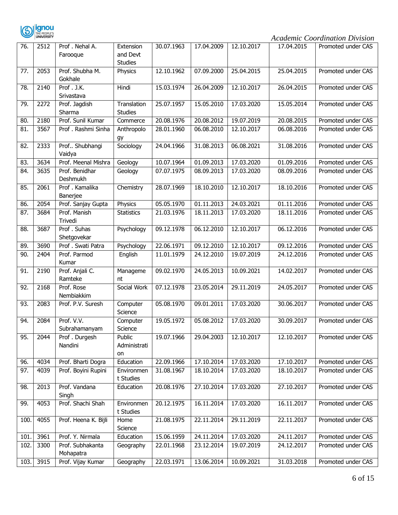

| 76.  | 2512 | Prof. Nehal A.       | Extension               | 30.07.1963              | 17.04.2009 | 12.10.2017 | 17.04.2015 | Promoted under CAS |
|------|------|----------------------|-------------------------|-------------------------|------------|------------|------------|--------------------|
|      |      | Farooque             | and Devt                |                         |            |            |            |                    |
|      |      |                      | <b>Studies</b>          |                         |            |            |            |                    |
| 77.  | 2053 | Prof. Shubha M.      | Physics                 | 12.10.1962              | 07.09.2000 | 25.04.2015 | 25.04.2015 | Promoted under CAS |
|      |      | Gokhale              |                         |                         |            |            |            |                    |
| 78.  | 2140 | Prof. J.K.           | Hindi                   | 15.03.1974              | 26.04.2009 | 12.10.2017 | 26.04.2015 | Promoted under CAS |
|      |      | Srivastava           |                         |                         |            |            |            |                    |
| 79.  | 2272 | Prof. Jagdish        | Translation             | 25.07.1957              | 15.05.2010 | 17.03.2020 | 15.05.2014 | Promoted under CAS |
|      |      | Sharma               | <b>Studies</b>          |                         |            |            |            |                    |
| 80.  | 2180 | Prof. Sunil Kumar    | Commerce                | 20.08.1976              | 20.08.2012 | 19.07.2019 | 20.08.2015 | Promoted under CAS |
| 81.  | 3567 | Prof . Rashmi Sinha  | Anthropolo              | 28.01.1960              | 06.08.2010 | 12.10.2017 | 06.08.2016 | Promoted under CAS |
|      |      |                      | gy                      |                         |            |            |            |                    |
| 82.  | 2333 | Prof Shubhangi       | Sociology               | 24.04.1966              | 31.08.2013 | 06.08.2021 | 31.08.2016 | Promoted under CAS |
|      |      | Vaidya               |                         |                         |            |            |            |                    |
| 83.  | 3634 | Prof. Meenal Mishra  | Geology                 | 10.07.1964              | 01.09.2013 | 17.03.2020 | 01.09.2016 | Promoted under CAS |
| 84.  | 3635 | Prof. Benidhar       | Geology                 | 07.07.1975              | 08.09.2013 | 17.03.2020 | 08.09.2016 | Promoted under CAS |
|      |      | Deshmukh             |                         |                         |            |            |            |                    |
| 85.  | 2061 | Prof . Kamalika      | Chemistry               | 28.07.1969              | 18.10.2010 | 12.10.2017 | 18.10.2016 | Promoted under CAS |
|      |      | Banerjee             |                         |                         |            |            |            |                    |
| 86.  | 2054 | Prof. Sanjay Gupta   | Physics                 | 05.05.1970              | 01.11.2013 | 24.03.2021 | 01.11.2016 | Promoted under CAS |
| 87.  | 3684 | Prof. Manish         | <b>Statistics</b>       | 21.03.1976              | 18.11.2013 | 17.03.2020 | 18.11.2016 | Promoted under CAS |
|      |      | Trivedi              |                         |                         |            |            |            |                    |
| 88.  | 3687 | Prof. Suhas          | Psychology              | 09.12.1978              | 06.12.2010 | 12.10.2017 | 06.12.2016 | Promoted under CAS |
|      |      | Shetgovekar          |                         |                         |            |            |            |                    |
| 89.  | 3690 | Prof . Swati Patra   | Psychology              | 22.06.1971              | 09.12.2010 | 12.10.2017 | 09.12.2016 | Promoted under CAS |
| 90.  | 2404 | Prof. Parmod         | English                 | $\overline{11.01.1979}$ | 24.12.2010 | 19.07.2019 | 24.12.2016 | Promoted under CAS |
|      |      | Kumar                |                         |                         |            |            |            |                    |
| 91.  | 2190 | Prof. Anjali C.      | Manageme                | 09.02.1970              | 24.05.2013 | 10.09.2021 | 14.02.2017 | Promoted under CAS |
|      |      | Ramteke              | nt                      |                         |            |            |            |                    |
| 92.  | 2168 | Prof. Rose           | Social Work             | 07.12.1978              | 23.05.2014 | 29.11.2019 | 24.05.2017 | Promoted under CAS |
|      |      | Nembiakkim           |                         |                         |            |            |            |                    |
| 93.  | 2083 | Prof. P.V. Suresh    | Computer                | 05.08.1970              | 09.01.2011 | 17.03.2020 | 30.06.2017 | Promoted under CAS |
|      |      |                      | Science                 |                         |            |            |            |                    |
| 94.  | 2084 | Prof. V.V.           | Computer                | 19.05.1972              | 05.08.2012 | 17.03.2020 | 30.09.2017 | Promoted under CAS |
|      |      | Subrahamanyam        | Science                 |                         |            |            |            |                    |
| 95.  | 2044 | Prof. Durgesh        | Public                  | 19.07.1966              | 29.04.2003 | 12.10.2017 | 12.10.2017 | Promoted under CAS |
|      |      | Nandini              | Administrati            |                         |            |            |            |                    |
|      | 4034 | Prof. Bharti Dogra   | on<br>Education         | 22.09.1966              | 17.10.2014 | 17.03.2020 | 17.10.2017 | Promoted under CAS |
| 96.  |      |                      |                         |                         |            |            |            |                    |
| 97.  | 4039 | Prof. Boyini Rupini  | Environmen<br>t Studies | 31.08.1967              | 18.10.2014 | 17.03.2020 | 18.10.2017 | Promoted under CAS |
| 98.  | 2013 | Prof. Vandana        | Education               | 20.08.1976              | 27.10.2014 | 17.03.2020 | 27.10.2017 | Promoted under CAS |
|      |      | Singh                |                         |                         |            |            |            |                    |
|      | 4053 | Prof. Shachi Shah    | Environmen              | 20.12.1975              |            |            |            |                    |
| 99.  |      |                      | t Studies               |                         | 16.11.2014 | 17.03.2020 | 16.11.2017 | Promoted under CAS |
| 100. | 4055 | Prof. Heena K. Bijli | Home                    | 21.08.1975              | 22.11.2014 | 29.11.2019 | 22.11.2017 | Promoted under CAS |
|      |      |                      | Science                 |                         |            |            |            |                    |
| 101. | 3961 | Prof. Y. Nirmala     | Education               | 15.06.1959              | 24.11.2014 | 17.03.2020 | 24.11.2017 | Promoted under CAS |
| 102. | 3300 | Prof. Subhakanta     | Geography               | 22.01.1968              | 23.12.2014 | 19.07.2019 | 24.12.2017 | Promoted under CAS |
|      |      | Mohapatra            |                         |                         |            |            |            |                    |
| 103. | 3915 | Prof. Vijay Kumar    | Geography               | 22.03.1971              | 13.06.2014 | 10.09.2021 | 31.03.2018 | Promoted under CAS |
|      |      |                      |                         |                         |            |            |            |                    |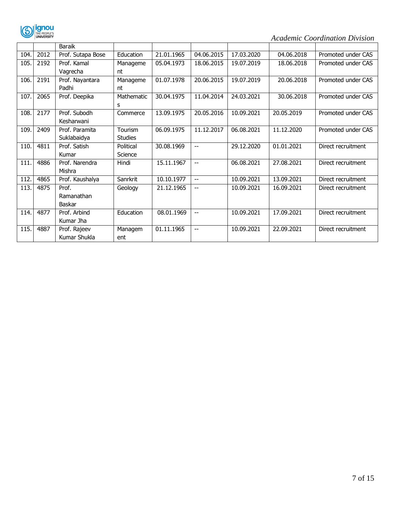

|      |      | Baraik            |                |            |                          |            |            |                    |
|------|------|-------------------|----------------|------------|--------------------------|------------|------------|--------------------|
| 104. | 2012 | Prof. Sutapa Bose | Education      | 21.01.1965 | 04.06.2015               | 17.03.2020 | 04.06.2018 | Promoted under CAS |
| 105. | 2192 | Prof. Kamal       | Manageme       | 05.04.1973 | 18.06.2015               | 19.07.2019 | 18.06.2018 | Promoted under CAS |
|      |      | Vagrecha          | nt             |            |                          |            |            |                    |
| 106. | 2191 | Prof. Nayantara   | Manageme       | 01.07.1978 | 20.06.2015               | 19.07.2019 | 20.06.2018 | Promoted under CAS |
|      |      | Padhi             | nt             |            |                          |            |            |                    |
| 107. | 2065 | Prof. Deepika     | Mathematic     | 30.04.1975 | 11.04.2014               | 24.03.2021 | 30.06.2018 | Promoted under CAS |
|      |      |                   | s              |            |                          |            |            |                    |
| 108. | 2177 | Prof. Subodh      | Commerce       | 13.09.1975 | 20.05.2016               | 10.09.2021 | 20.05.2019 | Promoted under CAS |
|      |      | Kesharwani        |                |            |                          |            |            |                    |
| 109. | 2409 | Prof. Paramita    | Tourism        | 06.09.1975 | 11.12.2017               | 06.08.2021 | 11.12.2020 | Promoted under CAS |
|      |      | Suklabaidya       | <b>Studies</b> |            |                          |            |            |                    |
| 110. | 4811 | Prof. Satish      | Political      | 30.08.1969 | $-$                      | 29.12.2020 | 01.01.2021 | Direct recruitment |
|      |      | Kumar             | Science        |            |                          |            |            |                    |
| 111. | 4886 | Prof. Narendra    | Hindi          | 15.11.1967 | $-$                      | 06.08.2021 | 27.08.2021 | Direct recruitment |
|      |      | Mishra            |                |            |                          |            |            |                    |
| 112. | 4865 | Prof. Kaushalya   | Sanrkrit       | 10.10.1977 | $\overline{\phantom{a}}$ | 10.09.2021 | 13.09.2021 | Direct recruitment |
| 113. | 4875 | Prof.             | Geology        | 21.12.1965 | $-$                      | 10.09.2021 | 16.09.2021 | Direct recruitment |
|      |      | Ramanathan        |                |            |                          |            |            |                    |
|      |      | Baskar            |                |            |                          |            |            |                    |
| 114. | 4877 | Prof. Arbind      | Education      | 08.01.1969 | $-$                      | 10.09.2021 | 17.09.2021 | Direct recruitment |
|      |      | Kumar Jha         |                |            |                          |            |            |                    |
| 115. | 4887 | Prof. Rajeev      | Managem        | 01.11.1965 | $-$                      | 10.09.2021 | 22.09.2021 | Direct recruitment |
|      |      | Kumar Shukla      | ent            |            |                          |            |            |                    |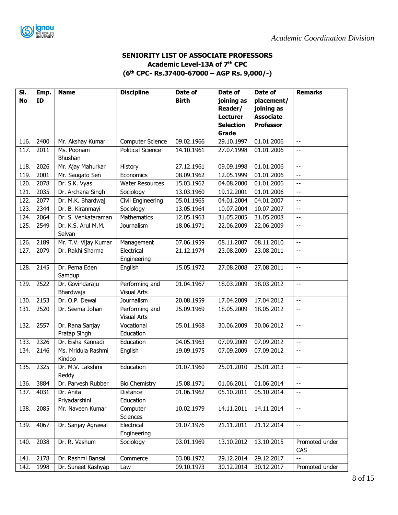

### **SENIORITY LIST OF ASSOCIATE PROFESSORS Academic Level-13A of 7th CPC (6 th CPC- Rs.37400-67000 – AGP Rs. 9,000/-)**

| ID<br>Reader/<br>joining as<br><b>Lecturer</b><br><b>Associate</b><br><b>Selection</b><br><b>Professor</b><br>Grade<br>2400<br>09.02.1966<br>29.10.1997<br>01.01.2006<br>116.<br><b>Computer Science</b><br>Mr. Akshay Kumar<br>$\overline{\phantom{a}}$<br>117.<br>2011<br>Ms. Poonam<br><b>Political Science</b><br>14.10.1961<br>27.07.1998<br>01.01.2006<br>uu.<br>Bhushan<br>2026<br>Mr. Ajay Mahurkar<br>27.12.1961<br>09.09.1998<br>01.01.2006<br>118.<br>History<br>44<br>119.<br>2001<br>08.09.1962<br>12.05.1999<br>01.01.2006<br>Mr. Saugato Sen<br>Economics<br>--<br>120.<br>2078<br>Dr. S.K. Vyas<br>15.03.1962<br>04.08.2000<br><b>Water Resources</b><br>01.01.2006<br>--<br>121.<br>2035<br>Dr. Archana Singh<br>13.03.1960<br>19.12.2001<br>01.01.2006<br>Sociology<br>$-$<br>122.<br>2077<br>04.01.2004<br>Dr. M.K. Bhardwaj<br>Civil Engineering<br>05.01.1965<br>04.01.2007<br>44<br>123.<br>2344<br>10.07.2004<br>Dr. B. Kiranmayi<br>Sociology<br>13.05.1964<br>10.07.2007<br>÷-<br><b>Mathematics</b><br>2064<br>Dr. S. Venkataraman<br>124.<br>12.05.1963<br>31.05.2005<br>31.05.2008<br>44<br>125.<br>2549<br>22.06.2009<br>Dr. K.S. Arul M.M.<br>Journalism<br>18.06.1971<br>22.06.2009<br>$-$<br>Selvan<br>2189<br>Mr. T.V. Vijay Kumar<br>Management<br>07.06.1959<br>08.11.2007<br>08.11.2010<br>126.<br>$-$<br>127.<br>Dr. Rakhi Sharma<br>21.12.1974<br>2079<br>Electrical<br>23.08.2009<br>23.08.2011<br>$-$<br>Engineering<br>2145<br>Dr. Pema Eden<br>27.08.2008<br>128.<br>15.05.1972<br>27.08.2011<br>English<br>$\overline{a}$<br>Samdup | SI.       | Emp. | <b>Name</b>     | <b>Discipline</b> | Date of      | Date of    | Date of    | <b>Remarks</b>           |
|--------------------------------------------------------------------------------------------------------------------------------------------------------------------------------------------------------------------------------------------------------------------------------------------------------------------------------------------------------------------------------------------------------------------------------------------------------------------------------------------------------------------------------------------------------------------------------------------------------------------------------------------------------------------------------------------------------------------------------------------------------------------------------------------------------------------------------------------------------------------------------------------------------------------------------------------------------------------------------------------------------------------------------------------------------------------------------------------------------------------------------------------------------------------------------------------------------------------------------------------------------------------------------------------------------------------------------------------------------------------------------------------------------------------------------------------------------------------------------------------------------------------------------------------------------------------------------|-----------|------|-----------------|-------------------|--------------|------------|------------|--------------------------|
|                                                                                                                                                                                                                                                                                                                                                                                                                                                                                                                                                                                                                                                                                                                                                                                                                                                                                                                                                                                                                                                                                                                                                                                                                                                                                                                                                                                                                                                                                                                                                                                | <b>No</b> |      |                 |                   | <b>Birth</b> | joining as | placement/ |                          |
|                                                                                                                                                                                                                                                                                                                                                                                                                                                                                                                                                                                                                                                                                                                                                                                                                                                                                                                                                                                                                                                                                                                                                                                                                                                                                                                                                                                                                                                                                                                                                                                |           |      |                 |                   |              |            |            |                          |
|                                                                                                                                                                                                                                                                                                                                                                                                                                                                                                                                                                                                                                                                                                                                                                                                                                                                                                                                                                                                                                                                                                                                                                                                                                                                                                                                                                                                                                                                                                                                                                                |           |      |                 |                   |              |            |            |                          |
|                                                                                                                                                                                                                                                                                                                                                                                                                                                                                                                                                                                                                                                                                                                                                                                                                                                                                                                                                                                                                                                                                                                                                                                                                                                                                                                                                                                                                                                                                                                                                                                |           |      |                 |                   |              |            |            |                          |
|                                                                                                                                                                                                                                                                                                                                                                                                                                                                                                                                                                                                                                                                                                                                                                                                                                                                                                                                                                                                                                                                                                                                                                                                                                                                                                                                                                                                                                                                                                                                                                                |           |      |                 |                   |              |            |            |                          |
|                                                                                                                                                                                                                                                                                                                                                                                                                                                                                                                                                                                                                                                                                                                                                                                                                                                                                                                                                                                                                                                                                                                                                                                                                                                                                                                                                                                                                                                                                                                                                                                |           |      |                 |                   |              |            |            |                          |
|                                                                                                                                                                                                                                                                                                                                                                                                                                                                                                                                                                                                                                                                                                                                                                                                                                                                                                                                                                                                                                                                                                                                                                                                                                                                                                                                                                                                                                                                                                                                                                                |           |      |                 |                   |              |            |            |                          |
|                                                                                                                                                                                                                                                                                                                                                                                                                                                                                                                                                                                                                                                                                                                                                                                                                                                                                                                                                                                                                                                                                                                                                                                                                                                                                                                                                                                                                                                                                                                                                                                |           |      |                 |                   |              |            |            |                          |
|                                                                                                                                                                                                                                                                                                                                                                                                                                                                                                                                                                                                                                                                                                                                                                                                                                                                                                                                                                                                                                                                                                                                                                                                                                                                                                                                                                                                                                                                                                                                                                                |           |      |                 |                   |              |            |            |                          |
|                                                                                                                                                                                                                                                                                                                                                                                                                                                                                                                                                                                                                                                                                                                                                                                                                                                                                                                                                                                                                                                                                                                                                                                                                                                                                                                                                                                                                                                                                                                                                                                |           |      |                 |                   |              |            |            |                          |
|                                                                                                                                                                                                                                                                                                                                                                                                                                                                                                                                                                                                                                                                                                                                                                                                                                                                                                                                                                                                                                                                                                                                                                                                                                                                                                                                                                                                                                                                                                                                                                                |           |      |                 |                   |              |            |            |                          |
|                                                                                                                                                                                                                                                                                                                                                                                                                                                                                                                                                                                                                                                                                                                                                                                                                                                                                                                                                                                                                                                                                                                                                                                                                                                                                                                                                                                                                                                                                                                                                                                |           |      |                 |                   |              |            |            |                          |
|                                                                                                                                                                                                                                                                                                                                                                                                                                                                                                                                                                                                                                                                                                                                                                                                                                                                                                                                                                                                                                                                                                                                                                                                                                                                                                                                                                                                                                                                                                                                                                                |           |      |                 |                   |              |            |            |                          |
|                                                                                                                                                                                                                                                                                                                                                                                                                                                                                                                                                                                                                                                                                                                                                                                                                                                                                                                                                                                                                                                                                                                                                                                                                                                                                                                                                                                                                                                                                                                                                                                |           |      |                 |                   |              |            |            |                          |
|                                                                                                                                                                                                                                                                                                                                                                                                                                                                                                                                                                                                                                                                                                                                                                                                                                                                                                                                                                                                                                                                                                                                                                                                                                                                                                                                                                                                                                                                                                                                                                                |           |      |                 |                   |              |            |            |                          |
|                                                                                                                                                                                                                                                                                                                                                                                                                                                                                                                                                                                                                                                                                                                                                                                                                                                                                                                                                                                                                                                                                                                                                                                                                                                                                                                                                                                                                                                                                                                                                                                |           |      |                 |                   |              |            |            |                          |
|                                                                                                                                                                                                                                                                                                                                                                                                                                                                                                                                                                                                                                                                                                                                                                                                                                                                                                                                                                                                                                                                                                                                                                                                                                                                                                                                                                                                                                                                                                                                                                                |           |      |                 |                   |              |            |            |                          |
|                                                                                                                                                                                                                                                                                                                                                                                                                                                                                                                                                                                                                                                                                                                                                                                                                                                                                                                                                                                                                                                                                                                                                                                                                                                                                                                                                                                                                                                                                                                                                                                |           |      |                 |                   |              |            |            |                          |
|                                                                                                                                                                                                                                                                                                                                                                                                                                                                                                                                                                                                                                                                                                                                                                                                                                                                                                                                                                                                                                                                                                                                                                                                                                                                                                                                                                                                                                                                                                                                                                                |           |      |                 |                   |              |            |            |                          |
| <b>Visual Arts</b><br>Bhardwaja                                                                                                                                                                                                                                                                                                                                                                                                                                                                                                                                                                                                                                                                                                                                                                                                                                                                                                                                                                                                                                                                                                                                                                                                                                                                                                                                                                                                                                                                                                                                                | 129.      | 2522 | Dr. Govindaraju | Performing and    | 01.04.1967   | 18.03.2009 | 18.03.2012 | $\overline{\phantom{a}}$ |
| 2153<br>130.<br>Dr. O.P. Dewal<br>Journalism<br>20.08.1959<br>17.04.2009<br>17.04.2012<br>$\overline{a}$                                                                                                                                                                                                                                                                                                                                                                                                                                                                                                                                                                                                                                                                                                                                                                                                                                                                                                                                                                                                                                                                                                                                                                                                                                                                                                                                                                                                                                                                       |           |      |                 |                   |              |            |            |                          |
| 131.<br>2520<br>Dr. Seema Johari<br>Performing and<br>25.09.1969<br>18.05.2009<br>18.05.2012<br>--                                                                                                                                                                                                                                                                                                                                                                                                                                                                                                                                                                                                                                                                                                                                                                                                                                                                                                                                                                                                                                                                                                                                                                                                                                                                                                                                                                                                                                                                             |           |      |                 |                   |              |            |            |                          |
| <b>Visual Arts</b>                                                                                                                                                                                                                                                                                                                                                                                                                                                                                                                                                                                                                                                                                                                                                                                                                                                                                                                                                                                                                                                                                                                                                                                                                                                                                                                                                                                                                                                                                                                                                             |           |      |                 |                   |              |            |            |                          |
| 30.06.2009<br>30.06.2012<br>132.<br>2557<br>Dr. Rana Sanjay<br>Vocational<br>05.01.1968<br>uu                                                                                                                                                                                                                                                                                                                                                                                                                                                                                                                                                                                                                                                                                                                                                                                                                                                                                                                                                                                                                                                                                                                                                                                                                                                                                                                                                                                                                                                                                  |           |      |                 |                   |              |            |            |                          |
| Pratap Singh<br>Education                                                                                                                                                                                                                                                                                                                                                                                                                                                                                                                                                                                                                                                                                                                                                                                                                                                                                                                                                                                                                                                                                                                                                                                                                                                                                                                                                                                                                                                                                                                                                      |           |      |                 |                   |              |            |            |                          |
| 2326<br>Dr. Eisha Kannadi<br>04.05.1963<br>07.09.2009<br>07.09.2012<br>133.<br>Education<br>44                                                                                                                                                                                                                                                                                                                                                                                                                                                                                                                                                                                                                                                                                                                                                                                                                                                                                                                                                                                                                                                                                                                                                                                                                                                                                                                                                                                                                                                                                 |           |      |                 |                   |              |            |            |                          |
| 2146<br>Ms. Mridula Rashmi<br>134.<br>English<br>19.09.1975<br>07.09.2009<br>07.09.2012<br>--<br>Kindoo                                                                                                                                                                                                                                                                                                                                                                                                                                                                                                                                                                                                                                                                                                                                                                                                                                                                                                                                                                                                                                                                                                                                                                                                                                                                                                                                                                                                                                                                        |           |      |                 |                   |              |            |            |                          |
| 2325<br>Dr. M.V. Lakshmi<br>Education<br>25.01.2010<br>25.01.2013<br>135.<br>01.07.1960<br>$-$<br>Reddy                                                                                                                                                                                                                                                                                                                                                                                                                                                                                                                                                                                                                                                                                                                                                                                                                                                                                                                                                                                                                                                                                                                                                                                                                                                                                                                                                                                                                                                                        |           |      |                 |                   |              |            |            |                          |
| 15.08.1971<br>01.06.2011<br>01.06.2014<br>3884<br>Dr. Parvesh Rubber<br><b>Bio Chemistry</b><br>136.<br>$\overline{a}$                                                                                                                                                                                                                                                                                                                                                                                                                                                                                                                                                                                                                                                                                                                                                                                                                                                                                                                                                                                                                                                                                                                                                                                                                                                                                                                                                                                                                                                         |           |      |                 |                   |              |            |            |                          |
| 137.<br>01.06.1962<br>05.10.2011<br>4031<br>Dr. Anita<br><b>Distance</b><br>05.10.2014<br>÷-                                                                                                                                                                                                                                                                                                                                                                                                                                                                                                                                                                                                                                                                                                                                                                                                                                                                                                                                                                                                                                                                                                                                                                                                                                                                                                                                                                                                                                                                                   |           |      |                 |                   |              |            |            |                          |
| Priyadarshini<br>Education                                                                                                                                                                                                                                                                                                                                                                                                                                                                                                                                                                                                                                                                                                                                                                                                                                                                                                                                                                                                                                                                                                                                                                                                                                                                                                                                                                                                                                                                                                                                                     |           |      |                 |                   |              |            |            |                          |
| 14.11.2011<br>2085<br>Mr. Naveen Kumar<br>10.02.1979<br>14.11.2014<br>138.<br>Computer<br>$\overline{a}$<br><b>Sciences</b>                                                                                                                                                                                                                                                                                                                                                                                                                                                                                                                                                                                                                                                                                                                                                                                                                                                                                                                                                                                                                                                                                                                                                                                                                                                                                                                                                                                                                                                    |           |      |                 |                   |              |            |            |                          |
| 4067<br>Electrical<br>01.07.1976<br>21.11.2011<br>21.12.2014<br>139.<br>Dr. Sanjay Agrawal<br>$\overline{a}$<br>Engineering                                                                                                                                                                                                                                                                                                                                                                                                                                                                                                                                                                                                                                                                                                                                                                                                                                                                                                                                                                                                                                                                                                                                                                                                                                                                                                                                                                                                                                                    |           |      |                 |                   |              |            |            |                          |
| 2038<br>Dr. R. Vashum<br>03.01.1969<br>13.10.2012<br>13.10.2015<br>140.<br>Sociology<br>Promoted under<br>CAS                                                                                                                                                                                                                                                                                                                                                                                                                                                                                                                                                                                                                                                                                                                                                                                                                                                                                                                                                                                                                                                                                                                                                                                                                                                                                                                                                                                                                                                                  |           |      |                 |                   |              |            |            |                          |
| 29.12.2014<br>29.12.2017<br>2178<br>Dr. Rashmi Bansal<br>03.08.1972<br>141.<br>Commerce                                                                                                                                                                                                                                                                                                                                                                                                                                                                                                                                                                                                                                                                                                                                                                                                                                                                                                                                                                                                                                                                                                                                                                                                                                                                                                                                                                                                                                                                                        |           |      |                 |                   |              |            |            |                          |
| 142.<br>1998<br>Dr. Suneet Kashyap<br>09.10.1973<br>30.12.2014<br>30.12.2017<br>Promoted under<br>Law                                                                                                                                                                                                                                                                                                                                                                                                                                                                                                                                                                                                                                                                                                                                                                                                                                                                                                                                                                                                                                                                                                                                                                                                                                                                                                                                                                                                                                                                          |           |      |                 |                   |              |            |            |                          |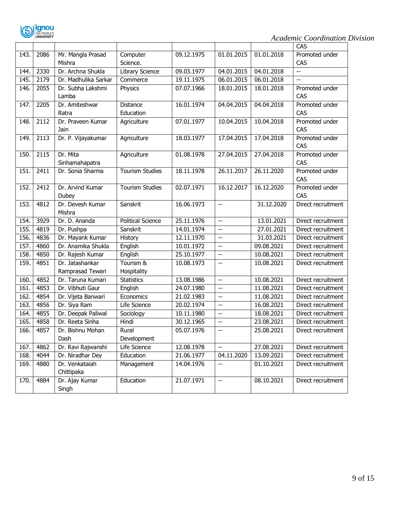

|      |      |                      |                        |            |                          |            | CAS                |
|------|------|----------------------|------------------------|------------|--------------------------|------------|--------------------|
| 143. | 2086 | Mr. Mangla Prasad    | Computer               | 09.12.1975 | 01.01.2015               | 01.01.2018 | Promoted under     |
|      |      | Mishra               | Science.               |            |                          |            | CAS                |
| 144. | 2330 | Dr. Archna Shukla    | Library Science        | 09.03.1977 | 04.01.2015               | 04.01.2018 | --                 |
| 145. | 2179 | Dr. Madhulika Sarkar | Commerce               | 19.11.1975 | 06.01.2015               | 06.01.2018 |                    |
| 146. | 2055 | Dr. Subha Lakshmi    | Physics                | 07.07.1966 | 18.01.2015               | 18.01.2018 | Promoted under     |
|      |      | Lamba                |                        |            |                          |            | CAS                |
| 147. | 2205 | Dr. Amiteshwar       | <b>Distance</b>        | 16.01.1974 | 04.04.2015               | 04.04.2018 | Promoted under     |
|      |      | Ratra                | Education              |            |                          |            | CAS                |
| 148. | 2112 | Dr. Praveen Kumar    | Agriculture            | 07.01.1977 | 10.04.2015               | 10.04.2018 | Promoted under     |
|      |      | Jain                 |                        |            |                          |            | CAS                |
| 149. | 2113 | Dr. P. Vijayakumar   | Agriculture            | 18.03.1977 | 17.04.2015               | 17.04.2018 | Promoted under     |
|      |      |                      |                        |            |                          |            | CAS                |
| 150. | 2115 | Dr. Mita             | Agriculture            | 01.08.1978 | 27.04.2015               | 27.04.2018 | Promoted under     |
|      |      | Sinhamahapatra       |                        |            |                          |            | CAS                |
| 151. | 2411 | Dr. Sonia Sharma     | <b>Tourism Studies</b> | 18.11.1978 | 26.11.2017               | 26.11.2020 | Promoted under     |
|      |      |                      |                        |            |                          |            | CAS                |
| 152. | 2412 | Dr. Arvind Kumar     | <b>Tourism Studies</b> | 02.07.1971 | 16.12.2017               | 16.12.2020 | Promoted under     |
|      |      | Dubey                |                        |            |                          |            | CAS                |
| 153. | 4812 | Dr. Devesh Kumar     | Sanskrit               | 16.06.1973 | $\overline{\phantom{m}}$ | 31.12.2020 | Direct recruitment |
|      |      | Mishra               |                        |            |                          |            |                    |
| 154. | 3929 | Dr. D. Ananda        | Political Science      | 25.11.1976 | $\overline{\phantom{a}}$ | 13.01.2021 | Direct recruitment |
| 155. | 4819 | Dr. Pushpa           | Sanskrit               | 14.01.1974 | $\overline{\phantom{m}}$ | 27.01.2021 | Direct recruitment |
| 156. | 4836 | Dr. Mayank Kumar     | History                | 12.11.1970 | $\overline{a}$           | 31.03.2021 | Direct recruitment |
| 157. | 4860 | Dr. Anamika Shukla   | English                | 10.01.1972 | $\overline{\phantom{a}}$ | 09.08.2021 | Direct recruitment |
| 158. | 4850 | Dr. Rajesh Kumar     | English                | 25.10.1977 | $\overline{\phantom{a}}$ | 10.08.2021 | Direct recruitment |
| 159. | 4851 | Dr. Jatashankar      | Tourism &              | 10.08.1973 | $\overline{a}$           | 10.08.2021 | Direct recruitment |
|      |      | Ramprasad Tewari     | Hospitality            |            |                          |            |                    |
| 160. | 4852 | Dr. Taruna Kumari    | <b>Statistics</b>      | 13.08.1986 | u.                       | 10.08.2021 | Direct recruitment |
| 161. | 4853 | Dr. Vibhuti Gaur     | English                | 24.07.1980 | $\overline{a}$           | 11.08.2021 | Direct recruitment |
| 162. | 4854 | Dr. Vijeta Banwari   | Economics              | 21.02.1983 | --                       | 11.08.2021 | Direct recruitment |
| 163. | 4856 | Dr. Siya Ram         | Life Science           | 20.02.1974 | $\overline{\phantom{a}}$ | 16.08.2021 | Direct recruitment |
| 164. | 4855 | Dr. Deepak Paliwal   | Sociology              | 10.11.1980 | --                       | 18.08.2021 | Direct recruitment |
| 165. | 4858 | Dr. Reeta Sinha      | Hindi                  | 30.12.1965 | --                       | 23.08.2021 | Direct recruitment |
| 166. | 4857 | Dr. Bishnu Mohan     | Rural                  | 05.07.1976 | $\overline{\phantom{a}}$ | 25.08.2021 | Direct recruitment |
|      |      | Dash                 | Development            |            |                          |            |                    |
| 167. | 4862 | Dr. Ravi Rajwanshi   | Life Science           | 12.08.1978 | $\overline{a}$           | 27.08.2021 | Direct recruitment |
| 168. | 4044 | Dr. Niradhar Dey     | Education              | 21.06.1977 | 04.11.2020               | 13.09.2021 | Direct recruitment |
| 169. | 4880 | Dr. Venkataiah       | Management             | 14.04.1976 | --                       | 01.10.2021 | Direct recruitment |
|      |      | Chittipaka           |                        |            |                          |            |                    |
| 170. | 4884 | Dr. Ajay Kumar       | Education              | 21.07.1971 | $\overline{\phantom{a}}$ | 08.10.2021 | Direct recruitment |
|      |      | Singh                |                        |            |                          |            |                    |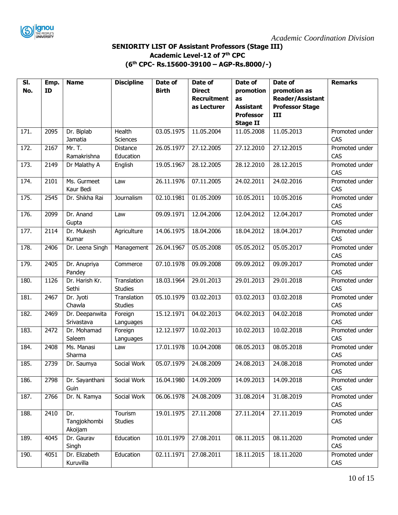

#### **SENIORITY LIST OF Assistant Professors (Stage III) Academic Level-12 of 7th CPC (6 th CPC- Rs.15600-39100 – AGP-Rs.8000/-)**

| SI.  | Emp. | <b>Name</b>     | <b>Discipline</b> | Date of      | Date of            | Date of          | Date of                 | <b>Remarks</b>        |
|------|------|-----------------|-------------------|--------------|--------------------|------------------|-------------------------|-----------------------|
| No.  | ID   |                 |                   | <b>Birth</b> | <b>Direct</b>      | promotion        | promotion as            |                       |
|      |      |                 |                   |              | <b>Recruitment</b> | as               | <b>Reader/Assistant</b> |                       |
|      |      |                 |                   |              | as Lecturer        | <b>Assistant</b> | <b>Professor Stage</b>  |                       |
|      |      |                 |                   |              |                    | <b>Professor</b> | III                     |                       |
|      |      |                 |                   |              |                    | <b>Stage II</b>  |                         |                       |
| 171. | 2095 | Dr. Biplab      | <b>Health</b>     | 03.05.1975   | 11.05.2004         | 11.05.2008       | 11.05.2013              | Promoted under        |
|      |      | Jamatia         | <b>Sciences</b>   |              |                    |                  |                         | CAS                   |
| 172. | 2167 | Mr. T.          | Distance          | 26.05.1977   | 27.12.2005         | 27.12.2010       | 27.12.2015              | Promoted under        |
|      |      | Ramakrishna     | Education         |              |                    |                  |                         | CAS                   |
| 173. | 2149 | Dr Malathy A    | English           | 19.05.1967   | 28.12.2005         | 28.12.2010       | 28.12.2015              | Promoted under<br>CAS |
| 174. | 2101 | Ms. Gurmeet     | Law               | 26.11.1976   | 07.11.2005         | 24.02.2011       | 24.02.2016              | Promoted under        |
|      |      | Kaur Bedi       |                   |              |                    |                  |                         | CAS                   |
| 175. | 2545 | Dr. Shikha Rai  | Journalism        | 02.10.1981   | 01.05.2009         | 10.05.2011       | 10.05.2016              | Promoted under        |
|      |      |                 |                   |              |                    |                  |                         | CAS                   |
| 176. | 2099 | Dr. Anand       | Law               | 09.09.1971   | 12.04.2006         | 12.04.2012       | 12.04.2017              | Promoted under        |
|      |      | Gupta           |                   |              |                    |                  |                         | CAS                   |
| 177. | 2114 | Dr. Mukesh      | Agriculture       | 14.06.1975   | 18.04.2006         | 18.04.2012       | 18.04.2017              | Promoted under        |
|      |      | Kumar           |                   |              |                    |                  |                         | CAS                   |
| 178. | 2406 | Dr. Leena Singh | Management        | 26.04.1967   | 05.05.2008         | 05.05.2012       | 05.05.2017              | Promoted under        |
|      |      |                 |                   |              |                    |                  |                         | CAS                   |
| 179. | 2405 | Dr. Anupriya    | Commerce          | 07.10.1978   | 09.09.2008         | 09.09.2012       | 09.09.2017              | Promoted under        |
|      |      | Pandey          |                   |              |                    |                  |                         | CAS                   |
| 180. | 1126 | Dr. Harish Kr.  | Translation       | 18.03.1964   | 29.01.2013         | 29.01.2013       | 29.01.2018              | Promoted under        |
|      |      | Sethi           | <b>Studies</b>    |              |                    |                  |                         | CAS                   |
| 181. | 2467 | Dr. Jyoti       | Translation       | 05.10.1979   | 03.02.2013         | 03.02.2013       | 03.02.2018              | Promoted under        |
|      |      | Chawla          | <b>Studies</b>    |              |                    |                  |                         | CAS                   |
| 182. | 2469 | Dr. Deepanwita  | Foreign           | 15.12.1971   | 04.02.2013         | 04.02.2013       | 04.02.2018              | Promoted under        |
|      |      | Srivastava      | Languages         |              |                    |                  |                         | CAS                   |
| 183. | 2472 | Dr. Mohamad     | Foreign           | 12.12.1977   | 10.02.2013         | 10.02.2013       | 10.02.2018              | Promoted under        |
|      |      | Saleem          | Languages         |              |                    |                  |                         | CAS                   |
| 184. | 2408 | Ms. Manasi      | Law               | 17.01.1978   | 10.04.2008         | 08.05.2013       | 08.05.2018              | Promoted under        |
|      |      | Sharma          |                   |              |                    |                  |                         | CAS                   |
| 185. | 2739 | Dr. Saumya      | Social Work       | 05.07.1979   | 24.08.2009         | 24.08.2013       | 24.08.2018              | Promoted under        |
|      |      |                 |                   |              |                    |                  |                         | CAS                   |
| 186. | 2798 | Dr. Sayanthani  | Social Work       | 16.04.1980   | 14.09.2009         | 14.09.2013       | 14.09.2018              | Promoted under        |
|      |      | Guin            |                   |              |                    |                  |                         | CAS                   |
| 187. | 2766 | Dr. N. Ramya    | Social Work       | 06.06.1978   | 24.08.2009         | 31.08.2014       | 31.08.2019              | Promoted under        |
|      |      |                 |                   |              |                    |                  |                         | CAS                   |
| 188. | 2410 | Dr.             | Tourism           | 19.01.1975   | 27.11.2008         | 27.11.2014       | 27.11.2019              | Promoted under        |
|      |      | Tangjokhombi    | <b>Studies</b>    |              |                    |                  |                         | CAS                   |
|      |      | Akoijam         |                   |              |                    |                  |                         |                       |
| 189. | 4045 | Dr. Gaurav      | Education         | 10.01.1979   | 27.08.2011         | 08.11.2015       | 08.11.2020              | Promoted under        |
|      |      | Singh           |                   |              |                    |                  |                         | CAS                   |
| 190. | 4051 | Dr. Elizabeth   | Education         | 02.11.1971   | 27.08.2011         | 18.11.2015       | 18.11.2020              | Promoted under        |
|      |      | Kuruvilla       |                   |              |                    |                  |                         | CAS                   |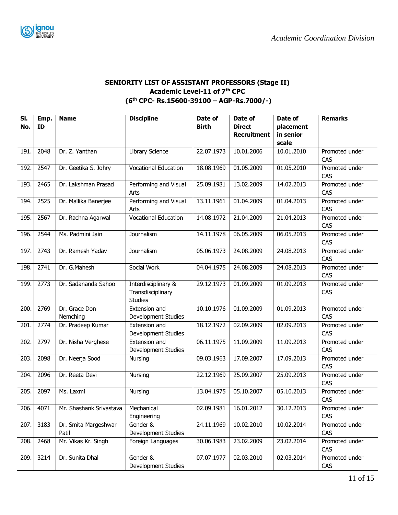

#### **SENIORITY LIST OF ASSISTANT PROFESSORS (Stage II) Academic Level-11 of 7th CPC (6 th CPC- Rs.15600-39100 – AGP-Rs.7000/-)**

| SI.  | Emp. | <b>Name</b>               | <b>Discipline</b>                                          | Date of      | Date of            | Date of    | <b>Remarks</b>        |
|------|------|---------------------------|------------------------------------------------------------|--------------|--------------------|------------|-----------------------|
| No.  | ID   |                           |                                                            | <b>Birth</b> | <b>Direct</b>      | placement  |                       |
|      |      |                           |                                                            |              | <b>Recruitment</b> | in senior  |                       |
|      |      |                           |                                                            |              |                    | scale      |                       |
| 191. | 2048 | Dr. Z. Yanthan            | Library Science                                            | 22.07.1973   | 10.01.2006         | 10.01.2010 | Promoted under        |
|      |      |                           |                                                            |              |                    |            | CAS                   |
| 192. | 2547 | Dr. Geetika S. Johry      | <b>Vocational Education</b>                                | 18.08.1969   | 01.05.2009         | 01.05.2010 | Promoted under<br>CAS |
| 193. | 2465 | Dr. Lakshman Prasad       | Performing and Visual<br>Arts                              | 25.09.1981   | 13.02.2009         | 14.02.2013 | Promoted under<br>CAS |
| 194. | 2525 | Dr. Mallika Banerjee      | Performing and Visual<br>Arts                              | 13.11.1961   | 01.04.2009         | 01.04.2013 | Promoted under<br>CAS |
| 195. | 2567 | Dr. Rachna Agarwal        | Vocational Education                                       | 14.08.1972   | 21.04.2009         | 21.04.2013 | Promoted under        |
|      |      |                           |                                                            |              |                    |            | CAS                   |
| 196. | 2544 | Ms. Padmini Jain          | Journalism                                                 | 14.11.1978   | 06.05.2009         | 06.05.2013 | Promoted under<br>CAS |
| 197. | 2743 | Dr. Ramesh Yadav          | Journalism                                                 | 05.06.1973   | 24.08.2009         | 24.08.2013 | Promoted under<br>CAS |
| 198. | 2741 | Dr. G.Mahesh              | Social Work                                                | 04.04.1975   | 24.08.2009         | 24.08.2013 | Promoted under<br>CAS |
| 199. | 2773 | Dr. Sadananda Sahoo       | Interdisciplinary &<br>Transdisciplinary<br><b>Studies</b> | 29.12.1973   | 01.09.2009         | 01.09.2013 | Promoted under<br>CAS |
| 200  | 2769 | Dr. Grace Don<br>Nemching | Extension and<br>Development Studies                       | 10.10.1976   | 01.09.2009         | 01.09.2013 | Promoted under<br>CAS |
| 201. | 2774 | Dr. Pradeep Kumar         | Extension and<br>Development Studies                       | 18.12.1972   | 02.09.2009         | 02.09.2013 | Promoted under<br>CAS |
| 202. | 2797 | Dr. Nisha Verghese        | <b>Extension and</b><br>Development Studies                | 06.11.1975   | 11.09.2009         | 11.09.2013 | Promoted under<br>CAS |
| 203. | 2098 | Dr. Neerja Sood           | Nursing                                                    | 09.03.1963   | 17.09.2007         | 17.09.2013 | Promoted under<br>CAS |
| 204. | 2096 | Dr. Reeta Devi            | Nursing                                                    | 22.12.1969   | 25.09.2007         | 25.09.2013 | Promoted under<br>CAS |
| 205. | 2097 | Ms. Laxmi                 | Nursing                                                    | 13.04.1975   | 05.10.2007         | 05.10.2013 | Promoted under<br>CAS |
| 206. | 4071 | Mr. Shashank Srivastava   | Mechanical<br>Engineering                                  | 02.09.1981   | 16.01.2012         | 30.12.2013 | Promoted under<br>CAS |
| 207. | 3183 | Dr. Smita Margeshwar      | Gender &                                                   | 24.11.1969   | 10.02.2010         | 10.02.2014 | Promoted under        |
|      |      | Patil                     | Development Studies                                        |              |                    |            | CAS                   |
| 208. | 2468 | Mr. Vikas Kr. Singh       | Foreign Languages                                          | 30.06.1983   | 23.02.2009         | 23.02.2014 | Promoted under<br>CAS |
| 209. | 3214 | Dr. Sunita Dhal           | Gender &<br>Development Studies                            | 07.07.1977   | 02.03.2010         | 02.03.2014 | Promoted under<br>CAS |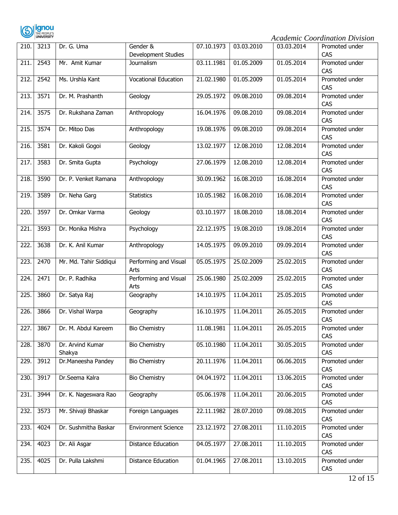

| 210. | 3213 | Dr. G. Uma                 | Gender &<br>Development Studies | 07.10.1973 | 03.03.2010 | 03.03.2014 | Promoted under<br>CAS |
|------|------|----------------------------|---------------------------------|------------|------------|------------|-----------------------|
| 211  | 2543 | Mr. Amit Kumar             | Journalism                      | 03.11.1981 | 01.05.2009 | 01.05.2014 | Promoted under<br>CAS |
| 212. | 2542 | Ms. Urshla Kant            | <b>Vocational Education</b>     | 21.02.1980 | 01.05.2009 | 01.05.2014 | Promoted under<br>CAS |
| 213. | 3571 | Dr. M. Prashanth           | Geology                         | 29.05.1972 | 09.08.2010 | 09.08.2014 | Promoted under<br>CAS |
| 214. | 3575 | Dr. Rukshana Zaman         | Anthropology                    | 16.04.1976 | 09.08.2010 | 09.08.2014 | Promoted under<br>CAS |
| 215  | 3574 | Dr. Mitoo Das              | Anthropology                    | 19.08.1976 | 09.08.2010 | 09.08.2014 | Promoted under<br>CAS |
| 216. | 3581 | Dr. Kakoli Gogoi           | Geology                         | 13.02.1977 | 12.08.2010 | 12.08.2014 | Promoted under<br>CAS |
| 217. | 3583 | Dr. Smita Gupta            | Psychology                      | 27.06.1979 | 12.08.2010 | 12.08.2014 | Promoted under<br>CAS |
| 218. | 3590 | Dr. P. Venket Ramana       | Anthropology                    | 30.09.1962 | 16.08.2010 | 16.08.2014 | Promoted under<br>CAS |
| 219. | 3589 | Dr. Neha Garg              | <b>Statistics</b>               | 10.05.1982 | 16.08.2010 | 16.08.2014 | Promoted under<br>CAS |
| 220. | 3597 | Dr. Omkar Varma            | Geology                         | 03.10.1977 | 18.08.2010 | 18.08.2014 | Promoted under<br>CAS |
| 221  | 3593 | Dr. Monika Mishra          | Psychology                      | 22.12.1975 | 19.08.2010 | 19.08.2014 | Promoted under<br>CAS |
| 222. | 3638 | Dr. K. Anil Kumar          | Anthropology                    | 14.05.1975 | 09.09.2010 | 09.09.2014 | Promoted under<br>CAS |
| 223. | 2470 | Mr. Md. Tahir Siddiqui     | Performing and Visual<br>Arts   | 05.05.1975 | 25.02.2009 | 25.02.2015 | Promoted under<br>CAS |
| 224. | 2471 | Dr. P. Radhika             | Performing and Visual<br>Arts   | 25.06.1980 | 25.02.2009 | 25.02.2015 | Promoted under<br>CAS |
| 225  | 3860 | Dr. Satya Raj              | Geography                       | 14.10.1975 | 11.04.2011 | 25.05.2015 | Promoted under<br>CAS |
| 226. | 3866 | Dr. Vishal Warpa           | Geography                       | 16.10.1975 | 11.04.2011 | 26.05.2015 | Promoted under<br>CAS |
| 227. | 3867 | Dr. M. Abdul Kareem        | <b>Bio Chemistry</b>            | 11.08.1981 | 11.04.2011 | 26.05.2015 | Promoted under<br>CAS |
| 228. | 3870 | Dr. Arvind Kumar<br>Shakya | <b>Bio Chemistry</b>            | 05.10.1980 | 11.04.2011 | 30.05.2015 | Promoted under<br>CAS |
| 229. | 3912 | Dr.Maneesha Pandey         | <b>Bio Chemistry</b>            | 20.11.1976 | 11.04.2011 | 06.06.2015 | Promoted under<br>CAS |
| 230. | 3917 | Dr.Seema Kalra             | <b>Bio Chemistry</b>            | 04.04.1972 | 11.04.2011 | 13.06.2015 | Promoted under<br>CAS |
| 231. | 3944 | Dr. K. Nageswara Rao       | Geography                       | 05.06.1978 | 11.04.2011 | 20.06.2015 | Promoted under<br>CAS |
| 232. | 3573 | Mr. Shivaji Bhaskar        | Foreign Languages               | 22.11.1982 | 28.07.2010 | 09.08.2015 | Promoted under<br>CAS |
| 233. | 4024 | Dr. Sushmitha Baskar       | <b>Environment Science</b>      | 23.12.1972 | 27.08.2011 | 11.10.2015 | Promoted under<br>CAS |
| 234. | 4023 | Dr. Ali Asgar              | Distance Education              | 04.05.1977 | 27.08.2011 | 11.10.2015 | Promoted under<br>CAS |
| 235. | 4025 | Dr. Pulla Lakshmi          | Distance Education              | 01.04.1965 | 27.08.2011 | 13.10.2015 | Promoted under<br>CAS |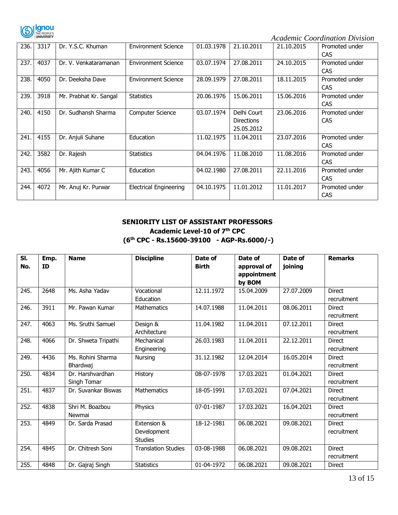

| 236. | 3317 | Dr. Y.S.C. Khuman      | <b>Environment Science</b>    | 01.03.1978 | 21.10.2011                                     | 21.10.2015 | Promoted under<br><b>CAS</b> |
|------|------|------------------------|-------------------------------|------------|------------------------------------------------|------------|------------------------------|
| 237. | 4037 | Dr. V. Venkataramanan  | <b>Environment Science</b>    | 03.07.1974 | 27.08.2011                                     | 24.10.2015 | Promoted under<br><b>CAS</b> |
| 238. | 4050 | Dr. Deeksha Dave       | <b>Environment Science</b>    | 28.09.1979 | 27.08.2011                                     | 18.11.2015 | Promoted under<br><b>CAS</b> |
| 239. | 3918 | Mr. Prabhat Kr. Sangal | <b>Statistics</b>             | 20.06.1976 | 15.06.2011                                     | 15.06.2016 | Promoted under<br><b>CAS</b> |
| 240. | 4150 | Dr. Sudhansh Sharma    | <b>Computer Science</b>       | 03.07.1974 | Delhi Court<br><b>Directions</b><br>25.05.2012 | 23.06.2016 | Promoted under<br><b>CAS</b> |
| 241. | 4155 | Dr. Anjuli Suhane      | Education                     | 11.02.1975 | 11.04.2011                                     | 23.07.2016 | Promoted under<br><b>CAS</b> |
| 242. | 3582 | Dr. Rajesh             | <b>Statistics</b>             | 04.04.1976 | 11.08.2010                                     | 11.08.2016 | Promoted under<br><b>CAS</b> |
| 243. | 4056 | Mr. Ajith Kumar C      | Education                     | 04.02.1980 | 27.08.2011                                     | 22.11.2016 | Promoted under<br><b>CAS</b> |
| 244. | 4072 | Mr. Anuj Kr. Purwar    | <b>Electrical Engineering</b> | 04.10.1975 | 11.01.2012                                     | 11.01.2017 | Promoted under<br><b>CAS</b> |

#### **SENIORITY LIST OF ASSISTANT PROFESSORS Academic Level-10 of 7th CPC (6 th CPC - Rs.15600-39100 - AGP-Rs.6000/-)**

| SI.<br>No. | Emp.<br>ID | <b>Name</b>                     | <b>Discipline</b>                            | Date of<br><b>Birth</b> | Date of<br>approval of<br>appointment<br>by BOM | Date of<br>joining | <b>Remarks</b>               |
|------------|------------|---------------------------------|----------------------------------------------|-------------------------|-------------------------------------------------|--------------------|------------------------------|
| 245.       | 2648       | Ms. Asha Yadav                  | Vocational<br>Education                      | 12.11.1972              | 15.04.2009                                      | 27.07.2009         | <b>Direct</b><br>recruitment |
| 246.       | 3911       | Mr. Pawan Kumar                 | <b>Mathematics</b>                           | 14.07.1988              | 11.04.2011                                      | 08.06.2011         | <b>Direct</b><br>recruitment |
| 247.       | 4063       | Ms. Sruthi Samuel               | Design &<br>Architecture                     | 11.04.1982              | 11.04.2011                                      | 07.12.2011         | <b>Direct</b><br>recruitment |
| 248.       | 4066       | Dr. Shweta Tripathi             | Mechanical<br>Engineering                    | 26.03.1983              | 11.04.2011                                      | 22.12.2011         | <b>Direct</b><br>recruitment |
| 249.       | 4436       | Ms. Rohini Sharma<br>Bhardwaj   | Nursing                                      | 31.12.1982              | 12.04.2014                                      | 16.05.2014         | <b>Direct</b><br>recruitment |
| 250.       | 4834       | Dr. Harshvardhan<br>Singh Tomar | History                                      | 08-07-1978              | 17.03.2021                                      | 01.04.2021         | <b>Direct</b><br>recruitment |
| 251.       | 4837       | Dr. Suvankar Biswas             | Mathematics                                  | 18-05-1991              | 17.03.2021                                      | 07.04.2021         | <b>Direct</b><br>recruitment |
| 252.       | 4838       | Shri M. Boazbou<br>Newmai       | Physics                                      | 07-01-1987              | 17.03.2021                                      | 16.04.2021         | <b>Direct</b><br>recruitment |
| 253.       | 4849       | Dr. Sarda Prasad                | Extension &<br>Development<br><b>Studies</b> | 18-12-1981              | 06.08.2021                                      | 09.08.2021         | <b>Direct</b><br>recruitment |
| 254.       | 4845       | Dr. Chitresh Soni               | <b>Translation Studies</b>                   | 03-08-1988              | 06.08.2021                                      | 09.08.2021         | <b>Direct</b><br>recruitment |
| 255.       | 4848       | Dr. Gajraj Singh                | <b>Statistics</b>                            | 01-04-1972              | 06.08.2021                                      | 09.08.2021         | <b>Direct</b>                |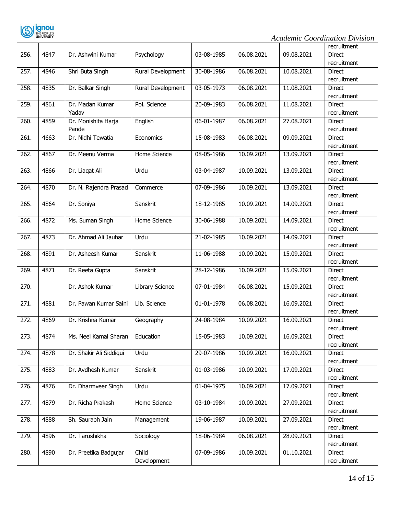

|                    |      |                         |                        |            |            |            | recruitment   |
|--------------------|------|-------------------------|------------------------|------------|------------|------------|---------------|
| 256.               | 4847 | Dr. Ashwini Kumar       | Psychology             | 03-08-1985 | 06.08.2021 | 09.08.2021 | <b>Direct</b> |
|                    |      |                         |                        |            |            |            | recruitment   |
| 257.               | 4846 | Shri Buta Singh         | Rural Development      | 30-08-1986 | 06.08.2021 | 10.08.2021 | <b>Direct</b> |
|                    |      |                         |                        |            |            |            | recruitment   |
| 258.               | 4835 | Dr. Balkar Singh        | Rural Development      | 03-05-1973 | 06.08.2021 | 11.08.2021 | <b>Direct</b> |
|                    |      |                         |                        |            |            |            | recruitment   |
| 259.               | 4861 | Dr. Madan Kumar         | Pol. Science           | 20-09-1983 | 06.08.2021 | 11.08.2021 | Direct        |
|                    |      | Yadav                   |                        |            |            |            | recruitment   |
| 260.               | 4859 | Dr. Monishita Harja     | English                | 06-01-1987 | 06.08.2021 | 27.08.2021 | <b>Direct</b> |
|                    |      | Pande                   |                        |            |            |            | recruitment   |
| 261.               | 4663 | Dr. Nidhi Tewatia       | Economics              | 15-08-1983 | 06.08.2021 | 09.09.2021 | <b>Direct</b> |
|                    |      |                         |                        |            |            |            | recruitment   |
| $\overline{262}$ . | 4867 | Dr. Meenu Verma         | Home Science           | 08-05-1986 | 10.09.2021 | 13.09.2021 | <b>Direct</b> |
|                    |      |                         |                        |            |            |            | recruitment   |
| 263.               | 4866 | Dr. Liaqat Ali          | Urdu                   | 03-04-1987 | 10.09.2021 | 13.09.2021 | Direct        |
|                    |      |                         |                        |            |            |            | recruitment   |
| 264.               | 4870 | Dr. N. Rajendra Prasad  | Commerce               | 07-09-1986 | 10.09.2021 | 13.09.2021 | <b>Direct</b> |
|                    |      |                         |                        |            |            |            | recruitment   |
| 265.               | 4864 | Dr. Soniya              | Sanskrit               | 18-12-1985 | 10.09.2021 | 14.09.2021 | <b>Direct</b> |
|                    |      |                         |                        |            |            |            | recruitment   |
| 266.               | 4872 | Ms. Suman Singh         | Home Science           | 30-06-1988 | 10.09.2021 | 14.09.2021 |               |
|                    |      |                         |                        |            |            |            | Direct        |
|                    | 4873 | Dr. Ahmad Ali Jauhar    | Urdu                   |            | 10.09.2021 | 14.09.2021 | recruitment   |
| 267.               |      |                         |                        | 21-02-1985 |            |            | Direct        |
|                    |      |                         |                        |            |            |            | recruitment   |
| 268.               | 4891 | Dr. Asheesh Kumar       | Sanskrit               | 11-06-1988 | 10.09.2021 | 15.09.2021 | <b>Direct</b> |
|                    |      |                         |                        |            |            |            | recruitment   |
| 269.               | 4871 | Dr. Reeta Gupta         | Sanskrit               | 28-12-1986 | 10.09.2021 | 15.09.2021 | <b>Direct</b> |
|                    |      |                         |                        |            |            |            | recruitment   |
| $\overline{270}$ . |      | Dr. Ashok Kumar         | <b>Library Science</b> | 07-01-1984 | 06.08.2021 | 15.09.2021 | <b>Direct</b> |
|                    |      |                         |                        |            |            |            | recruitment   |
| 271.               | 4881 | Dr. Pawan Kumar Saini   | Lib. Science           | 01-01-1978 | 06.08.2021 | 16.09.2021 | <b>Direct</b> |
|                    |      |                         |                        |            |            |            | recruitment   |
| 272.               | 4869 | Dr. Krishna Kumar       | Geography              | 24-08-1984 | 10.09.2021 | 16.09.2021 | <b>Direct</b> |
|                    |      |                         |                        |            |            |            | recruitment   |
| 273.               | 4874 | Ms. Neel Kamal Sharan   | Education              | 15-05-1983 | 10.09.2021 | 16.09.2021 | Direct        |
|                    |      |                         |                        |            |            |            | recruitment   |
| $\overline{274}$ . | 4878 | Dr. Shakir Ali Siddiqui | Urdu                   | 29-07-1986 | 10.09.2021 | 16.09.2021 | <b>Direct</b> |
|                    |      |                         |                        |            |            |            | recruitment   |
| 275.               | 4883 | Dr. Avdhesh Kumar       | Sanskrit               | 01-03-1986 | 10.09.2021 | 17.09.2021 | <b>Direct</b> |
|                    |      |                         |                        |            |            |            | recruitment   |
| 276.               | 4876 | Dr. Dharmveer Singh     | Urdu                   | 01-04-1975 | 10.09.2021 | 17.09.2021 | Direct        |
|                    |      |                         |                        |            |            |            | recruitment   |
| 277.               | 4879 | Dr. Richa Prakash       | Home Science           | 03-10-1984 | 10.09.2021 | 27.09.2021 | Direct        |
|                    |      |                         |                        |            |            |            | recruitment   |
| 278.               | 4888 | Sh. Saurabh Jain        | Management             | 19-06-1987 | 10.09.2021 | 27.09.2021 | Direct        |
|                    |      |                         |                        |            |            |            | recruitment   |
| 279.               | 4896 | Dr. Tarushikha          | Sociology              | 18-06-1984 | 06.08.2021 | 28.09.2021 | Direct        |
|                    |      |                         |                        |            |            |            | recruitment   |
| 280.               | 4890 | Dr. Preetika Badgujar   | Child                  | 07-09-1986 | 10.09.2021 | 01.10.2021 | Direct        |
|                    |      |                         | Development            |            |            |            | recruitment   |